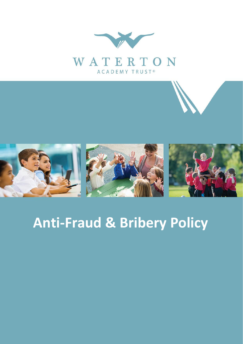



## **Anti-Fraud & Bribery Policy**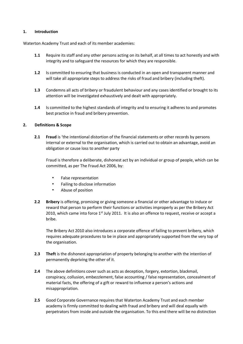## **1. Introduction**

Waterton Academy Trust and each of its member academies:

- **1.1** Require its staff and any other persons acting on its behalf, at all times to act honestly and with integrity and to safeguard the resources for which they are responsible.
- **1.2** Is committed to ensuring that business is conducted in an open and transparent manner and will take all appropriate steps to address the risks of fraud and bribery (including theft).
- **1.3** Condemns all acts of bribery or fraudulent behaviour and any cases identified or brought to its attention will be investigated exhaustively and dealt with appropriately.
- **1.4** Is committed to the highest standards of integrity and to ensuring it adheres to and promotes best practice in fraud and bribery prevention.

## **2. Definitions & Scope**

**2.1 Fraud** is 'the intentional distortion of the financial statements or other records by persons internal or external to the organisation, which is carried out to obtain an advantage, avoid an obligation or cause loss to another party

Fraud is therefore a deliberate, dishonest act by an individual or group of people, which can be committed, as per The Fraud Act 2006, by:

- False representation
- Failing to disclose information
- Abuse of position
- **2.2 Bribery** is offering, promising or giving someone a financial or other advantage to induce or reward that person to perform their functions or activities improperly as per the Bribery Act 2010, which came into force  $1<sup>st</sup>$  July 2011. It is also an offence to request, receive or accept a bribe.

The Bribery Act 2010 also introduces a corporate offence of failing to prevent bribery, which requires adequate procedures to be in place and appropriately supported from the very top of the organisation.

- **2.3 Theft** is the dishonest appropriation of property belonging to another with the intention of permanently depriving the other of it.
- **2.4** The above definitions cover such as acts as deception, forgery, extortion, blackmail, conspiracy, collusion, embezzlement, false accounting / false representation, concealment of material facts, the offering of a gift or reward to influence a person's actions and misappropriation.
- **2.5** Good Corporate Governance requires that Waterton Academy Trust and each member academy is firmly committed to dealing with fraud and bribery and will deal equally with perpetrators from inside and outside the organisation. To this end there will be no distinction